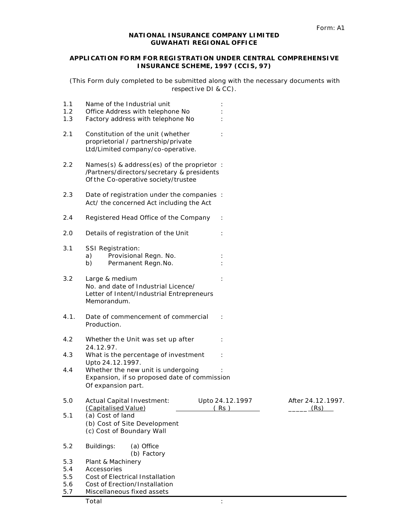### **NATIONAL INSURANCE COMPANY LIMITED GUWAHATI REGIONAL OFFICE**

## **APPLICATION FO RM FOR REGISTRATION UNDER CENTRAL COMPREHENSIVE INSURANCE SCHEME, 1997 (CCIS, 97)**

(This Form duly completed to be submitted along with the necessary documents with respective DI & CC).

| 1.1<br>1.2<br>1.3 | Name of the Industrial unit<br>Office Address with telephone No<br>Factory address with telephone No                            |                         |                           |
|-------------------|---------------------------------------------------------------------------------------------------------------------------------|-------------------------|---------------------------|
| 2.1               | Constitution of the unit (whether<br>proprietorial / partnership/private<br>Ltd/Limited company/co-operative.                   |                         |                           |
| $2.2\,$           | Names(s) & address(es) of the proprietor :<br>/Partners/directors/secretary & presidents<br>Of the Co-operative society/trustee |                         |                           |
| $2.3\,$           | Date of registration under the companies :<br>Act/ the concerned Act including the Act                                          |                         |                           |
| 2.4               | Registered Head Office of the Company                                                                                           |                         |                           |
| 2.0               | Details of registration of the Unit                                                                                             |                         |                           |
| 3.1               | <b>SSI Registration:</b><br>Provisional Regn. No.<br>a)<br>Permanent Regn.No.<br>b)                                             |                         |                           |
| 3.2               | Large & medium<br>No. and date of Industrial Licence/<br>Letter of Intent/Industrial Entrepreneurs<br>Memorandum.               |                         |                           |
| 4.1.              | Date of commencement of commercial<br>Production.                                                                               |                         |                           |
| 4.2               | Whether the Unit was set up after<br>24.12.97.                                                                                  |                         |                           |
| 4.3               | What is the percentage of investment<br>Upto 24.12.1997.                                                                        |                         |                           |
| 4.4               | Whether the new unit is undergoing<br>Expansion, if so proposed date of commission<br>Of expansion part.                        |                         |                           |
| 5.0               | <b>Actual Capital Investment:</b><br>(Capitalised Value)                                                                        | Upto 24.12.1997<br>(Rs) | After 24.12.1997.<br>(Rs) |
| 5.1               | (a) Cost of land<br>(b) Cost of Site Development<br>(c) Cost of Boundary Wall                                                   |                         |                           |
| 5.2               | Buildings:<br>(a) Office<br>(b) Factory                                                                                         |                         |                           |
| 5.3               | Plant & Machinery                                                                                                               |                         |                           |
| 5.4               | Accessories                                                                                                                     |                         |                           |
| 5.5               | Cost of Electrical Installation                                                                                                 |                         |                           |
| 5.6               | Cost of Erection/Installation                                                                                                   |                         |                           |
| 5.7               | Miscellaneous fixed assets                                                                                                      |                         |                           |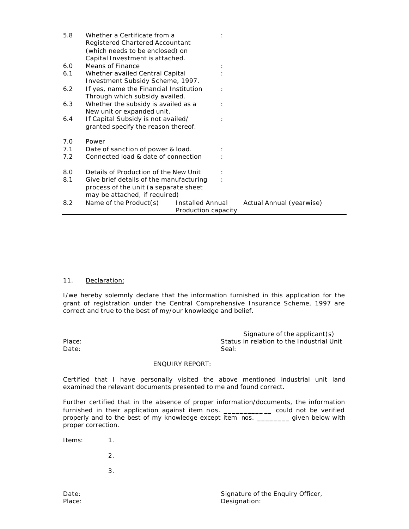| 5.8 | Whether a Certificate from a<br>Registered Chartered Accountant<br>(which needs to be enclosed) on<br>Capital Investment is attached. |                                                |                          |
|-----|---------------------------------------------------------------------------------------------------------------------------------------|------------------------------------------------|--------------------------|
| 6.0 | Means of Finance                                                                                                                      |                                                |                          |
| 6.1 | Whether availed Central Capital<br>Investment Subsidy Scheme, 1997.                                                                   |                                                |                          |
| 6.2 | If yes, name the Financial Institution<br>Through which subsidy availed.                                                              |                                                |                          |
| 6.3 | Whether the subsidy is availed as a<br>New unit or expanded unit.                                                                     |                                                |                          |
| 6.4 | If Capital Subsidy is not availed/<br>granted specify the reason thereof.                                                             |                                                |                          |
| 7.0 | Power                                                                                                                                 |                                                |                          |
| 7.1 | Date of sanction of power & load.                                                                                                     |                                                |                          |
| 7.2 | Connected load & date of connection                                                                                                   |                                                |                          |
| 8.0 | Details of Production of the New Unit                                                                                                 |                                                |                          |
| 8.1 | Give brief details of the manufacturing<br>process of the unit (a separate sheet<br>may be attached, if required)                     |                                                |                          |
| 8.2 | Name of the Product(s)                                                                                                                | <b>Installed Annual</b><br>Production capacity | Actual Annual (yearwise) |

## 11. Declaration:

I/we hereby solemnly declare that the information furnished in this application for the grant of registration under the Central Comprehensive Insurance Scheme, 1997 are correct and true to the best of my/our knowledge and belief.

> Signature of the applicant(s) Status in relation to the Industrial Unit Seal:

# ENQUIRY REPORT:

Certified that I have personally visited the above mentioned industrial unit land examined the relevant documents presented to me and found correct.

Further certified that in the absence of proper information/documents, the information furnished in their application against item nos. \_\_\_\_\_\_\_\_\_\_\_ could not be verified properly and to the best of my knowledge except item nos. \_\_\_\_\_\_\_ given below with proper correction.

Items: 1.

 Place: Date:

- 2.
- 3.